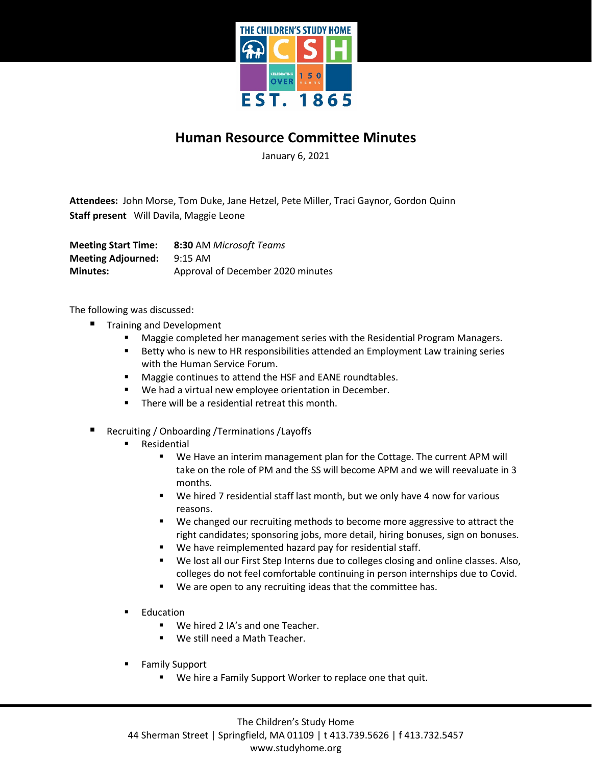

## **Human Resource Committee Minutes**

January 6, 2021

**Attendees:** John Morse, Tom Duke, Jane Hetzel, Pete Miller, Traci Gaynor, Gordon Quinn **Staff present** Will Davila, Maggie Leone

**Meeting Start Time: 8:30** AM *Microsoft Teams* **Meeting Adjourned:** 9:15 AM **Minutes:** Approval of December 2020 minutes

The following was discussed:

- Training and Development
	- Maggie completed her management series with the Residential Program Managers.
	- Betty who is new to HR responsibilities attended an Employment Law training series with the Human Service Forum.
	- **Maggie continues to attend the HSF and EANE roundtables.**
	- We had a virtual new employee orientation in December.
	- **There will be a residential retreat this month.**
- Recruiting / Onboarding /Terminations /Layoffs
	- Residential
		- We Have an interim management plan for the Cottage. The current APM will take on the role of PM and the SS will become APM and we will reevaluate in 3 months.
		- We hired 7 residential staff last month, but we only have 4 now for various reasons.
		- We changed our recruiting methods to become more aggressive to attract the right candidates; sponsoring jobs, more detail, hiring bonuses, sign on bonuses.
		- We have reimplemented hazard pay for residential staff.
		- We lost all our First Step Interns due to colleges closing and online classes. Also, colleges do not feel comfortable continuing in person internships due to Covid.
		- We are open to any recruiting ideas that the committee has.
	- Education
		- We hired 2 IA's and one Teacher.
		- **We still need a Math Teacher.**
	- Family Support
		- We hire a Family Support Worker to replace one that quit.